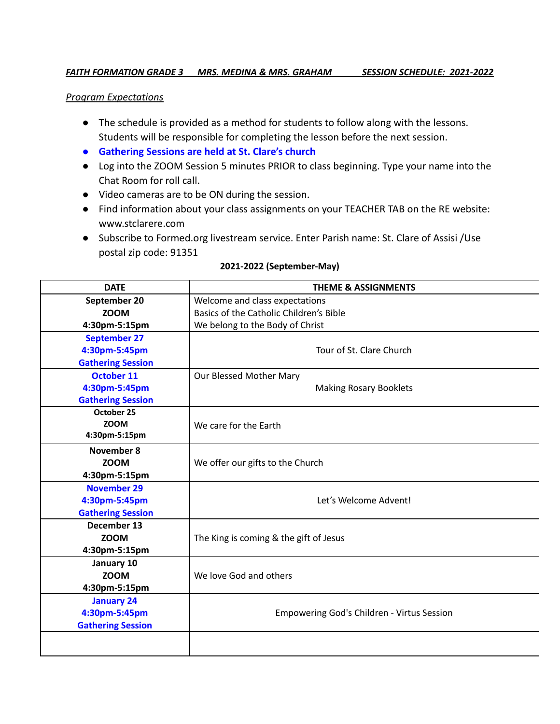## *FAITH FORMATION GRADE 3 MRS. MEDINA & MRS. GRAHAM SESSION SCHEDULE: 2021-2022*

## *Program Expectations*

- The schedule is provided as a method for students to follow along with the lessons. Students will be responsible for completing the lesson before the next session.
- **● Gathering Sessions are held at St. Clare's church**
- Log into the ZOOM Session 5 minutes PRIOR to class beginning. Type your name into the Chat Room for roll call.
- Video cameras are to be ON during the session.
- Find information about your class assignments on your TEACHER TAB on the RE website: www.stclarere.com
- Subscribe to Formed.org livestream service. Enter Parish name: St. Clare of Assisi /Use postal zip code: 91351

| <b>DATE</b>              | <b>THEME &amp; ASSIGNMENTS</b>                    |
|--------------------------|---------------------------------------------------|
| September 20             | Welcome and class expectations                    |
| <b>ZOOM</b>              | Basics of the Catholic Children's Bible           |
| 4:30pm-5:15pm            | We belong to the Body of Christ                   |
| <b>September 27</b>      |                                                   |
| 4:30pm-5:45pm            | Tour of St. Clare Church                          |
| <b>Gathering Session</b> |                                                   |
| <b>October 11</b>        | Our Blessed Mother Mary                           |
| 4:30pm-5:45pm            | <b>Making Rosary Booklets</b>                     |
| <b>Gathering Session</b> |                                                   |
| October 25               |                                                   |
| <b>ZOOM</b>              | We care for the Earth                             |
| 4:30pm-5:15pm            |                                                   |
| <b>November 8</b>        |                                                   |
| <b>ZOOM</b>              | We offer our gifts to the Church                  |
| 4:30pm-5:15pm            |                                                   |
| <b>November 29</b>       |                                                   |
| 4:30pm-5:45pm            | Let's Welcome Advent!                             |
| <b>Gathering Session</b> |                                                   |
| December 13              |                                                   |
| <b>ZOOM</b>              | The King is coming & the gift of Jesus            |
| 4:30pm-5:15pm            |                                                   |
| January 10               |                                                   |
| <b>ZOOM</b>              | We love God and others                            |
| 4:30pm-5:15pm            |                                                   |
| <b>January 24</b>        |                                                   |
| 4:30pm-5:45pm            | <b>Empowering God's Children - Virtus Session</b> |
| <b>Gathering Session</b> |                                                   |
|                          |                                                   |

## **2021-2022 (September-May)**